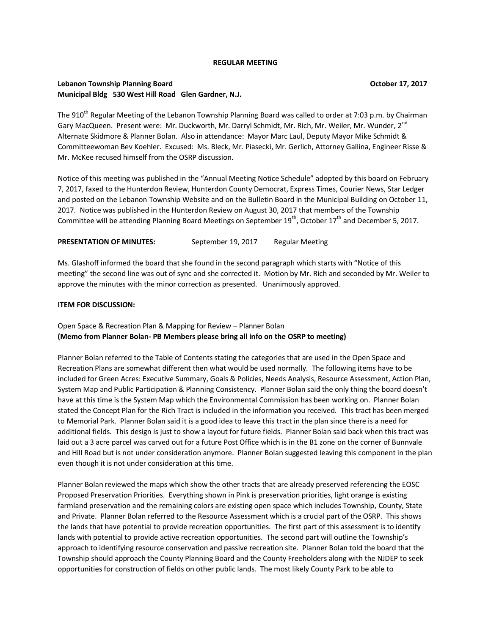#### **REGULAR MEETING**

## **Lebanon Township Planning Board Community Community Community Community Community Community Community Community Community Community Community Community Community Community Community Community Community Community Community Municipal Bldg 530 West Hill Road Glen Gardner, N.J.**

The 910<sup>th</sup> Regular Meeting of the Lebanon Township Planning Board was called to order at 7:03 p.m. by Chairman Gary MacQueen. Present were: Mr. Duckworth, Mr. Darryl Schmidt, Mr. Rich, Mr. Weiler, Mr. Wunder, 2<sup>nd</sup> Alternate Skidmore & Planner Bolan. Also in attendance: Mayor Marc Laul, Deputy Mayor Mike Schmidt & Committeewoman Bev Koehler. Excused: Ms. Bleck, Mr. Piasecki, Mr. Gerlich, Attorney Gallina, Engineer Risse & Mr. McKee recused himself from the OSRP discussion.

Notice of this meeting was published in the "Annual Meeting Notice Schedule" adopted by this board on February 7, 2017, faxed to the Hunterdon Review, Hunterdon County Democrat, Express Times, Courier News, Star Ledger and posted on the Lebanon Township Website and on the Bulletin Board in the Municipal Building on October 11, 2017. Notice was published in the Hunterdon Review on August 30, 2017 that members of the Township Committee will be attending Planning Board Meetings on September  $19^{th}$ , October  $17^{th}$  and December 5, 2017.

#### PRESENTATION OF MINUTES: September 19, 2017 Regular Meeting

Ms. Glashoff informed the board that she found in the second paragraph which starts with "Notice of this meeting" the second line was out of sync and she corrected it. Motion by Mr. Rich and seconded by Mr. Weiler to approve the minutes with the minor correction as presented. Unanimously approved.

## **ITEM FOR DISCUSSION:**

Open Space & Recreation Plan & Mapping for Review – Planner Bolan **(Memo from Planner Bolan- PB Members please bring all info on the OSRP to meeting)**

Planner Bolan referred to the Table of Contents stating the categories that are used in the Open Space and Recreation Plans are somewhat different then what would be used normally. The following items have to be included for Green Acres: Executive Summary, Goals & Policies, Needs Analysis, Resource Assessment, Action Plan, System Map and Public Participation & Planning Consistency. Planner Bolan said the only thing the board doesn't have at this time is the System Map which the Environmental Commission has been working on. Planner Bolan stated the Concept Plan for the Rich Tract is included in the information you received. This tract has been merged to Memorial Park. Planner Bolan said it is a good idea to leave this tract in the plan since there is a need for additional fields. This design is just to show a layout for future fields. Planner Bolan said back when this tract was laid out a 3 acre parcel was carved out for a future Post Office which is in the B1 zone on the corner of Bunnvale and Hill Road but is not under consideration anymore. Planner Bolan suggested leaving this component in the plan even though it is not under consideration at this time.

Planner Bolan reviewed the maps which show the other tracts that are already preserved referencing the EOSC Proposed Preservation Priorities. Everything shown in Pink is preservation priorities, light orange is existing farmland preservation and the remaining colors are existing open space which includes Township, County, State and Private. Planner Bolan referred to the Resource Assessment which is a crucial part of the OSRP. This shows the lands that have potential to provide recreation opportunities. The first part of this assessment is to identify lands with potential to provide active recreation opportunities. The second part will outline the Township's approach to identifying resource conservation and passive recreation site. Planner Bolan told the board that the Township should approach the County Planning Board and the County Freeholders along with the NJDEP to seek opportunities for construction of fields on other public lands. The most likely County Park to be able to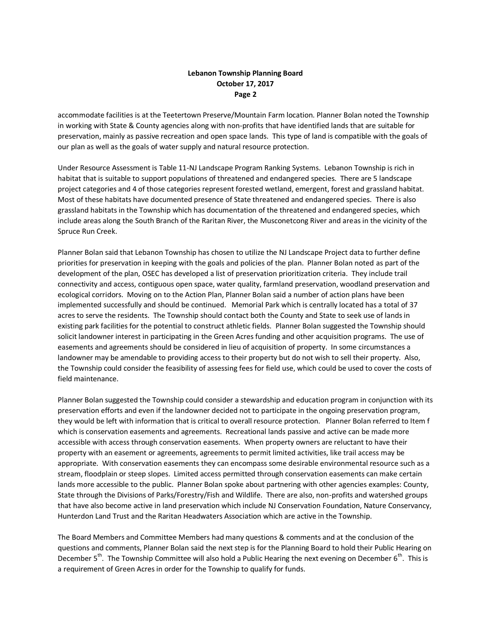# **Lebanon Township Planning Board October 17, 2017 Page 2**

accommodate facilities is at the Teetertown Preserve/Mountain Farm location. Planner Bolan noted the Township in working with State & County agencies along with non-profits that have identified lands that are suitable for preservation, mainly as passive recreation and open space lands. This type of land is compatible with the goals of our plan as well as the goals of water supply and natural resource protection.

Under Resource Assessment is Table 11-NJ Landscape Program Ranking Systems. Lebanon Township is rich in habitat that is suitable to support populations of threatened and endangered species. There are 5 landscape project categories and 4 of those categories represent forested wetland, emergent, forest and grassland habitat. Most of these habitats have documented presence of State threatened and endangered species. There is also grassland habitats in the Township which has documentation of the threatened and endangered species, which include areas along the South Branch of the Raritan River, the Musconetcong River and areas in the vicinity of the Spruce Run Creek.

Planner Bolan said that Lebanon Township has chosen to utilize the NJ Landscape Project data to further define priorities for preservation in keeping with the goals and policies of the plan. Planner Bolan noted as part of the development of the plan, OSEC has developed a list of preservation prioritization criteria. They include trail connectivity and access, contiguous open space, water quality, farmland preservation, woodland preservation and ecological corridors. Moving on to the Action Plan, Planner Bolan said a number of action plans have been implemented successfully and should be continued. Memorial Park which is centrally located has a total of 37 acres to serve the residents. The Township should contact both the County and State to seek use of lands in existing park facilities for the potential to construct athletic fields. Planner Bolan suggested the Township should solicit landowner interest in participating in the Green Acres funding and other acquisition programs. The use of easements and agreements should be considered in lieu of acquisition of property. In some circumstances a landowner may be amendable to providing access to their property but do not wish to sell their property. Also, the Township could consider the feasibility of assessing fees for field use, which could be used to cover the costs of field maintenance.

Planner Bolan suggested the Township could consider a stewardship and education program in conjunction with its preservation efforts and even if the landowner decided not to participate in the ongoing preservation program, they would be left with information that is critical to overall resource protection. Planner Bolan referred to Item f which is conservation easements and agreements. Recreational lands passive and active can be made more accessible with access through conservation easements. When property owners are reluctant to have their property with an easement or agreements, agreements to permit limited activities, like trail access may be appropriate. With conservation easements they can encompass some desirable environmental resource such as a stream, floodplain or steep slopes. Limited access permitted through conservation easements can make certain lands more accessible to the public. Planner Bolan spoke about partnering with other agencies examples: County, State through the Divisions of Parks/Forestry/Fish and Wildlife. There are also, non-profits and watershed groups that have also become active in land preservation which include NJ Conservation Foundation, Nature Conservancy, Hunterdon Land Trust and the Raritan Headwaters Association which are active in the Township.

The Board Members and Committee Members had many questions & comments and at the conclusion of the questions and comments, Planner Bolan said the next step is for the Planning Board to hold their Public Hearing on December  $5^{th}$ . The Township Committee will also hold a Public Hearing the next evening on December 6<sup>th</sup>. This is a requirement of Green Acres in order for the Township to qualify for funds.